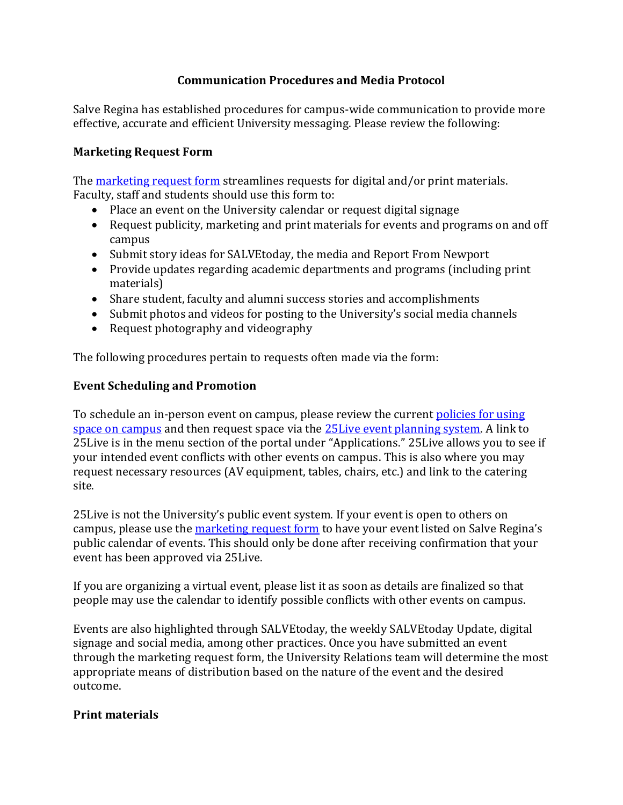# **Communication Procedures and Media Protocol**

Salve Regina has established procedures for campus-wide communication to provide more effective, accurate and efficient University messaging. Please review the following:

### **Marketing Request Form**

The [marketing request form](https://salve.edu/marketing-design-and-communication-request-form) streamlines requests for digital and/or print materials. Faculty, staff and students should use this form to:

- Place an event on the University calendar or request digital signage
- Request publicity, marketing and print materials for events and programs on and off campus
- Submit story ideas for SALVEtoday, the media and Report From Newport
- Provide updates regarding academic departments and programs (including print materials)
- Share student, faculty and alumni success stories and accomplishments
- Submit photos and videos for posting to the University's social media channels
- Request photography and videography

The following procedures pertain to requests often made via the form:

## **Event Scheduling and Promotion**

To schedule an in-person event on campus, please review the current policies for using [space on campus](https://salve.edu/document/policies-using-space-campus) and then request space via the [25Live event planning system.](https://25live.collegenet.com/pro/salve) A link to 25Live is in the menu section of the portal under "Applications." 25Live allows you to see if your intended event conflicts with other events on campus. This is also where you may request necessary resources (AV equipment, tables, chairs, etc.) and link to the catering site.

25Live is not the University's public event system. If your event is open to others on campus, please use th[e marketing request form](https://salve.edu/marketing-design-and-communication-request-form) to have your event listed on Salve Regina's public calendar of events. This should only be done after receiving confirmation that your event has been approved via 25Live.

If you are organizing a virtual event, please list it as soon as details are finalized so that people may use the calendar to identify possible conflicts with other events on campus.

Events are also highlighted through SALVEtoday, the weekly SALVEtoday Update, digital signage and social media, among other practices. Once you have submitted an event through the marketing request form, the University Relations team will determine the most appropriate means of distribution based on the nature of the event and the desired outcome.

### **Print materials**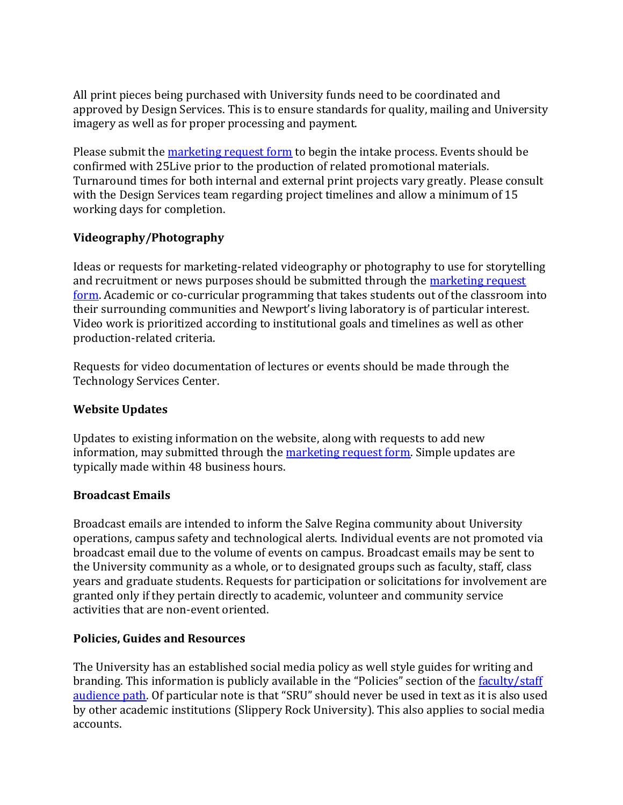All print pieces being purchased with University funds need to be coordinated and approved by Design Services. This is to ensure standards for quality, mailing and University imagery as well as for proper processing and payment.

Please submit the [marketing request form](https://salve.edu/marketing-design-and-communication-request-form) to begin the intake process. Events should be confirmed with 25Live prior to the production of related promotional materials. Turnaround times for both internal and external print projects vary greatly. Please consult with the Design Services team regarding project timelines and allow a minimum of 15 working days for completion.

# **Videography/Photography**

Ideas or requests for marketing-related videography or photography to use for storytelling and recruitment or news purposes should be submitted through the [marketing](https://salve.edu/marketing-design-and-communication-request-form) request [form.](https://salve.edu/marketing-design-and-communication-request-form) Academic or co-curricular programming that takes students out of the classroom into their surrounding communities and Newport's living laboratory is of particular interest. Video work is prioritized according to institutional goals and timelines as well as other production-related criteria.

Requests for video documentation of lectures or events should be made through the Technology Services Center.

### **Website Updates**

Updates to existing information on the website, along with requests to add new information, may submitted through the [marketing request form.](https://salve.edu/marketing-design-and-communication-request-form) Simple updates are typically made within 48 business hours.

### **Broadcast Emails**

Broadcast emails are intended to inform the Salve Regina community about University operations, campus safety and technological alerts. Individual events are not promoted via broadcast email due to the volume of events on campus. Broadcast emails may be sent to the University community as a whole, or to designated groups such as faculty, staff, class years and graduate students. Requests for participation or solicitations for involvement are granted only if they pertain directly to academic, volunteer and community service activities that are non-event oriented.

### **Policies, Guides and Resources**

The University has an established social media policy as well style guides for writing and branding. This information is publicly available in the "Policies" section of the faculty/staff [audience path.](https://salve.edu/faculty-and-staff) Of particular note is that "SRU" should never be used in text as it is also used by other academic institutions (Slippery Rock University). This also applies to social media accounts.